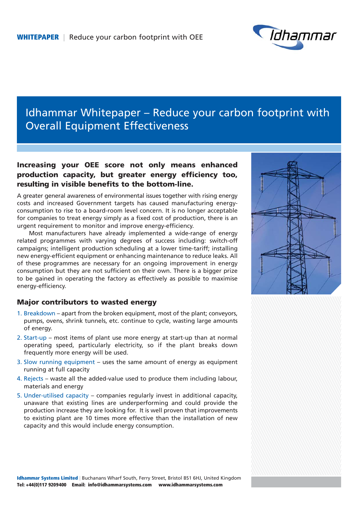

# Idhammar Whitepaper – Reduce your carbon footprint with Overall Equipment Effectiveness

## **Increasing your OEE score not only means enhanced production capacity, but greater energy efficiency too, resulting in visible benefits to the bottom-line.**

A greater general awareness of environmental issues together with rising energy costs and increased Government targets has caused manufacturing energyconsumption to rise to a board-room level concern. It is no longer acceptable for companies to treat energy simply as a fixed cost of production, there is an urgent requirement to monitor and improve energy-efficiency.

Most manufacturers have already implemented a wide-range of energy related programmes with varying degrees of success including: switch-off campaigns; intelligent production scheduling at a lower time-tariff; installing new energy-efficient equipment or enhancing maintenance to reduce leaks. All of these programmes are necessary for an ongoing improvement in energy consumption but they are not sufficient on their own. There is a bigger prize to be gained in operating the factory as effectively as possible to maximise energy-efficiency.

### **Major contributors to wasted energy**

- 1. Breakdown apart from the broken equipment, most of the plant; conveyors, pumps, ovens, shrink tunnels, etc. continue to cycle, wasting large amounts of energy.
- 2. Start-up most items of plant use more energy at start-up than at normal operating speed, particularly electricity, so if the plant breaks down frequently more energy will be used.
- 3. Slow running equipment uses the same amount of energy as equipment running at full capacity
- 4. Rejects waste all the added-value used to produce them including labour, materials and energy
- 5. Under-utilised capacity companies regularly invest in additional capacity, unaware that existing lines are underperforming and could provide the production increase they are looking for. It is well proven that improvements to existing plant are 10 times more effective than the installation of new capacity and this would include energy consumption.





**Idhammar Systems Limited** | Buchanans Wharf South, Ferry Street, Bristol BS1 6HJ, United Kingdom **Tel: +44(0)117 9209400 Email: info@idhammarsystems.com www.idhammarsystems.com**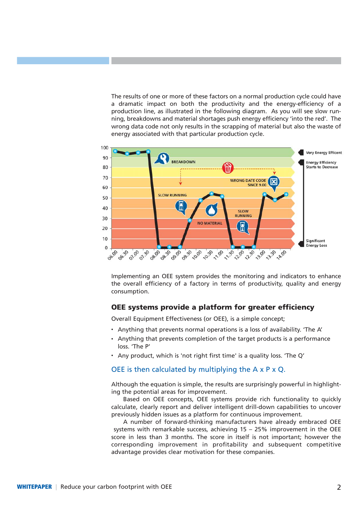The results of one or more of these factors on a normal production cycle could have a dramatic impact on both the productivity and the energy-efficiency of a production line, as illustrated in the following diagram. As you will see slow running, breakdowns and material shortages push energy efficiency 'into the red'. The wrong data code not only results in the scrapping of material but also the waste of energy associated with that particular production cycle.



Implementing an OEE system provides the monitoring and indicators to enhance the overall efficiency of a factory in terms of productivity, quality and energy consumption.

#### **OEE systems provide a platform for greater efficiency**

Overall Equipment Effectiveness (or OEE), is a simple concept;

- Anything that prevents normal operations is a loss of availability. 'The A'
- Anything that prevents completion of the target products is a performance loss. 'The P'
- Any product, which is 'not right first time' is a quality loss. 'The Q'

#### OEE is then calculated by multiplying the A x P x Q.

Although the equation is simple, the results are surprisingly powerful in highlighting the potential areas for improvement.

Based on OEE concepts, OEE systems provide rich functionality to quickly calculate, clearly report and deliver intelligent drill-down capabilities to uncover previously hidden issues as a platform for continuous improvement.

A number of forward-thinking manufacturers have already embraced OEE systems with remarkable success, achieving 15 – 25% improvement in the OEE score in less than 3 months. The score in itself is not important; however the corresponding improvement in profitability and subsequent competitive advantage provides clear motivation for these companies.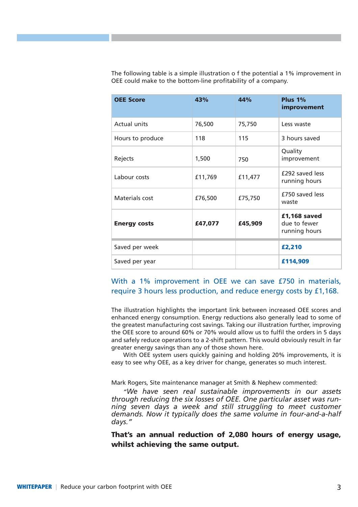| <b>OEE Score</b>    | 43%     | 44%     | Plus $1\%$<br>improvement                     |
|---------------------|---------|---------|-----------------------------------------------|
| <b>Actual units</b> | 76,500  | 75,750  | Less waste                                    |
| Hours to produce    | 118     | 115     | 3 hours saved                                 |
| Rejects             | 1,500   | 750     | Quality<br>improvement                        |
| Labour costs        | £11,769 | £11,477 | £292 saved less<br>running hours              |
| Materials cost      | £76,500 | £75,750 | £750 saved less<br>waste                      |
| <b>Energy costs</b> | £47,077 | £45,909 | £1,168 saved<br>due to fewer<br>running hours |
| Saved per week      |         |         | £2,210                                        |
| Saved per year      |         |         | £114,909                                      |

The following table is a simple illustration o f the potential a 1% improvement in OEE could make to the bottom-line profitability of a company.

### With a 1% improvement in OEE we can save £750 in materials, require 3 hours less production, and reduce energy costs by £1,168.

The illustration highlights the important link between increased OEE scores and enhanced energy consumption. Energy reductions also generally lead to some of the greatest manufacturing cost savings. Taking our illustration further, improving the OEE score to around 60% or 70% would allow us to fulfil the orders in 5 days and safely reduce operations to a 2-shift pattern. This would obviously result in far greater energy savings than any of those shown here.

With OEE system users quickly gaining and holding 20% improvements, it is easy to see why OEE, as a key driver for change, generates so much interest.

Mark Rogers, Site maintenance manager at Smith & Nephew commented:

*"We have seen real sustainable improvements in our assets through reducing the six losses of OEE. One particular asset was running seven days a week and still struggling to meet customer demands. Now it typically does the same volume in four-and-a-half days."*

**That's an annual reduction of 2,080 hours of energy usage, whilst achieving the same output.**